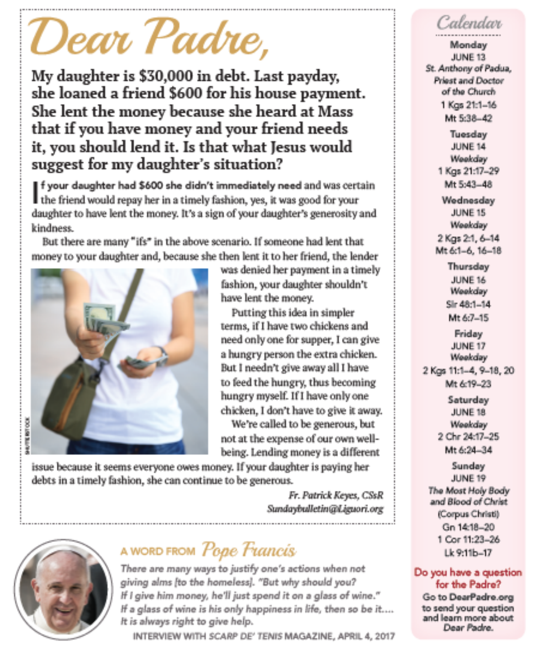# 'Dear Padre,

My daughter is \$30,000 in debt. Last payday, she loaned a friend \$600 for his house payment. She lent the money because she heard at Mass that if you have money and your friend needs it, you should lend it. Is that what Jesus would suggest for my daughter's situation?

■ f your daughter had \$600 she didn't immediately need and was certain the friend would repay her in a timely fashion, yes, it was good for your daughter to have lent the money. It's a sign of your daughter's generosity and kindness.

But there are many "ifs" in the above scenario. If someone had lent that money to your daughter and, because she then lent it to her friend, the lender



was denied her payment in a timely fashion, your daughter shouldn't have lent the money.

Putting this idea in simpler terms, if I have two chickens and need only one for supper, I can give a hungry person the extra chicken. But I needn't give away all I have to feed the hungry, thus becoming hungry myself. If I have only one chicken, I don't have to give it away.

We're called to be generous, but not at the expense of our own wellbeing. Lending money is a different

issue because it seems everyone owes money. If your daughter is paying her debts in a timely fashion, she can continue to be generous.

> Fr. Patrick Keyes, CSsR Sundaybulletin@Liguori.org



# a word from *Pope Fiancis*

There are many ways to justify one's actions when not giving alms [to the homeless]. "But why should you? If I give him money, he'll just spend it on a glass of wine." If a glass of wine is his only happiness in life, then so be it.... It is always right to give help.

INTERVIEW WITH SCARP DE' TENIS MAGAZINE, APRIL 4, 2017

# Calendar

Monday JUNE 13 St. Anthony of Padua, Priest and Doctor of the Church 1 Kgs 21:1-16 Mt 5:38-42

> Tuesday JUNE 14 Weekday 1 Kgs 21:17-29 Mt 5:43-48

Wednesday **JUNE 15** Weekday 2 Kgs 21, 6-14 Mt 6:1-6, 16-18

> Thursday JUNE 16 Weekday Sir 48:1-14 Mt 67-15

Friday **JUNE 17** Weekday

2 Kgs 11:1-4, 9-18, 20 Mt &19-23

> Saturday JUNE 18 Weekday 2 Chr 24:17-25 Mt 6:24-34

Sunday JUNE 19 The Most Holy Body and Blood of Christ (Corpus Christi) Gn 1418-20 1 Cor 11:23-26 Lk 9:11b-17

#### Do you have a question for the Padre?

Go to DearPadre.org to send your question and learn more about Dear Padre.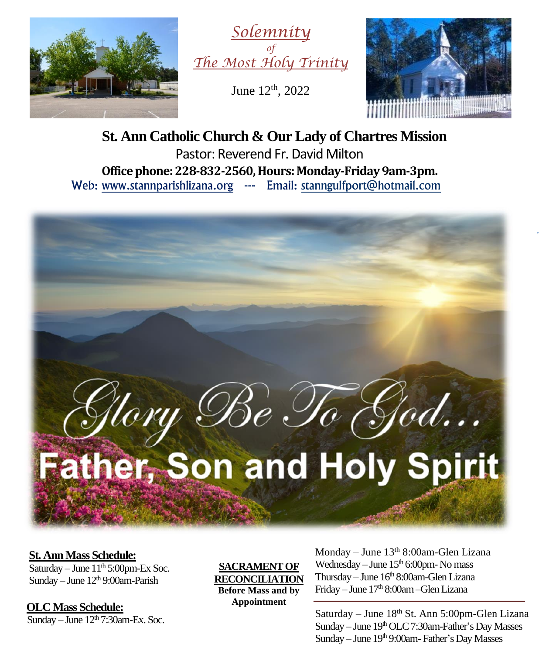



June 12<sup>th</sup>, 2022



**St. Ann Catholic Church & Our Lady of Chartres Mission** Pastor: Reverend Fr. David Milton **Office phone: 228-832-2560, Hours: Monday-Friday 9am-3pm.** Web: www.stannparishlizana.org --- Email: [stanngulfport@hotmail.com](mailto:stanngulfport@hotmail.com)



#### **St. Ann Mass Schedule:**

Saturday – June  $11<sup>th</sup> 5:00<sub>pm</sub>$ -Ex Soc. Sunday – June  $12<sup>th</sup>$  9:00am-Parish

 **OLC Mass Schedule:**

Sunday – June  $12<sup>th</sup>$  7:30am-Ex. Soc.

**SACRAMENT OF RECONCILIATION Before Mass and by Appointment**

Monday – June  $13<sup>th</sup> 8:00$ am-Glen Lizana Wednesday – June  $15<sup>th</sup> 6:00$ pm-No mass Thursday – June 16<sup>th</sup> 8:00am-Glen Lizana Friday – June 17 th 8:00am–Glen Lizana

Saturday – June 18<sup>th</sup> St. Ann 5:00pm-Glen Lizana Sunday - June 19<sup>th</sup> OLC 7:30am-Father's Day Masses Sunday – June 19<sup>th</sup> 9:00am- Father's Day Masses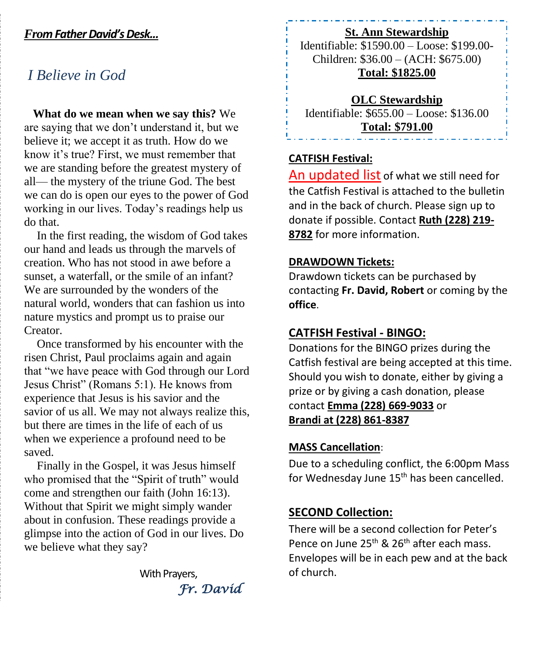#### *From Father David'sDesk...*

# *I Believe in God*

 **What do we mean when we say this?** We are saying that we don't understand it, but we believe it; we accept it as truth. How do we know it's true? First, we must remember that we are standing before the greatest mystery of all— the mystery of the triune God. The best we can do is open our eyes to the power of God working in our lives. Today's readings help us do that.

In the first reading, the wisdom of God takes our hand and leads us through the marvels of creation. Who has not stood in awe before a sunset, a waterfall, or the smile of an infant? We are surrounded by the wonders of the natural world, wonders that can fashion us into nature mystics and prompt us to praise our Creator.

Once transformed by his encounter with the risen Christ, Paul proclaims again and again that "we have peace with God through our Lord Jesus Christ" (Romans 5:1). He knows from experience that Jesus is his savior and the savior of us all. We may not always realize this, but there are times in the life of each of us when we experience a profound need to be saved.

Finally in the Gospel, it was Jesus himself who promised that the "Spirit of truth" would come and strengthen our faith (John 16:13). Without that Spirit we might simply wander about in confusion. These readings provide a glimpse into the action of God in our lives. Do we believe what they say?

> With Prayers, *Fr. David*

#### **St. Ann Stewardship**

Identifiable: \$1590.00 – Loose: \$199.00- Children: \$36.00 – (ACH: \$675.00) **Total: \$1825.00**

**OLC Stewardship** Identifiable: \$655.00 – Loose: \$136.00 **Total: \$791.00**

#### **CATFISH Festival:**

An updated list of what we still need for the Catfish Festival is attached to the bulletin and in the back of church. Please sign up to donate if possible. Contact **Ruth (228) 219- 8782** for more information.

#### **DRAWDOWN Tickets:**

Drawdown tickets can be purchased by contacting **Fr. David, Robert** or coming by the **office**.

#### **CATFISH Festival - BINGO:**

Donations for the BINGO prizes during the Catfish festival are being accepted at this time. Should you wish to donate, either by giving a prize or by giving a cash donation, please contact **Emma (228) 669-9033** or **Brandi at (228) 861-8387**

#### **MASS Cancellation**:

Due to a scheduling conflict, the 6:00pm Mass for Wednesday June 15<sup>th</sup> has been cancelled.

#### **SECOND Collection:**

There will be a second collection for Peter's Pence on June 25<sup>th</sup> & 26<sup>th</sup> after each mass. Envelopes will be in each pew and at the back of church.